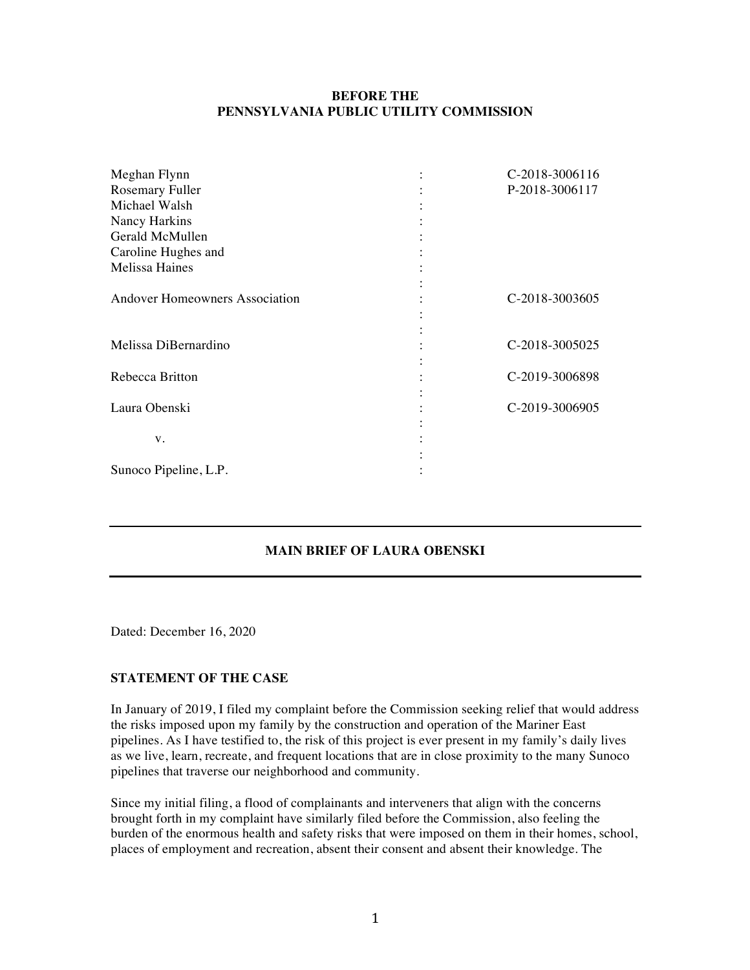## **BEFORE THE PENNSYLVANIA PUBLIC UTILITY COMMISSION**

| Meghan Flynn                          | C-2018-3006116 |
|---------------------------------------|----------------|
| Rosemary Fuller                       | P-2018-3006117 |
| Michael Walsh                         |                |
| Nancy Harkins                         |                |
| Gerald McMullen                       |                |
| Caroline Hughes and                   |                |
| <b>Melissa Haines</b>                 |                |
| <b>Andover Homeowners Association</b> | C-2018-3003605 |
| Melissa DiBernardino                  | C-2018-3005025 |
| Rebecca Britton                       | C-2019-3006898 |
| Laura Obenski                         | C-2019-3006905 |
| V.                                    |                |
| Sunoco Pipeline, L.P.                 |                |

## **MAIN BRIEF OF LAURA OBENSKI**

Dated: December 16, 2020

#### **STATEMENT OF THE CASE**

In January of 2019, I filed my complaint before the Commission seeking relief that would address the risks imposed upon my family by the construction and operation of the Mariner East pipelines. As I have testified to, the risk of this project is ever present in my family's daily lives as we live, learn, recreate, and frequent locations that are in close proximity to the many Sunoco pipelines that traverse our neighborhood and community.

Since my initial filing, a flood of complainants and interveners that align with the concerns brought forth in my complaint have similarly filed before the Commission, also feeling the burden of the enormous health and safety risks that were imposed on them in their homes, school, places of employment and recreation, absent their consent and absent their knowledge. The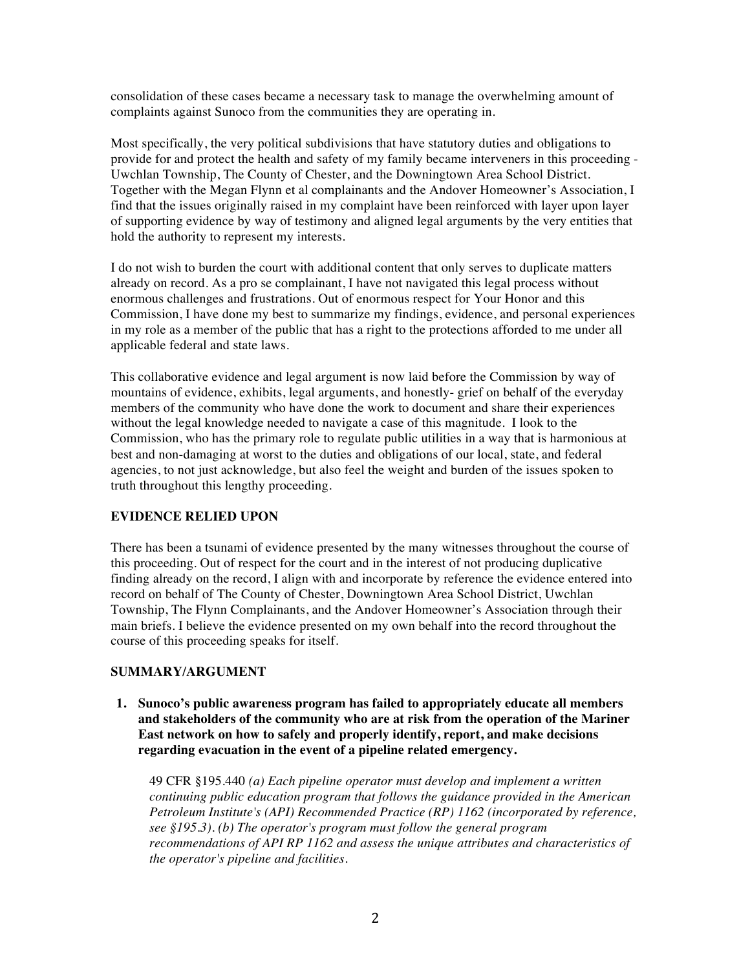consolidation of these cases became a necessary task to manage the overwhelming amount of complaints against Sunoco from the communities they are operating in.

Most specifically, the very political subdivisions that have statutory duties and obligations to provide for and protect the health and safety of my family became interveners in this proceeding - Uwchlan Township, The County of Chester, and the Downingtown Area School District. Together with the Megan Flynn et al complainants and the Andover Homeowner's Association, I find that the issues originally raised in my complaint have been reinforced with layer upon layer of supporting evidence by way of testimony and aligned legal arguments by the very entities that hold the authority to represent my interests.

I do not wish to burden the court with additional content that only serves to duplicate matters already on record. As a pro se complainant, I have not navigated this legal process without enormous challenges and frustrations. Out of enormous respect for Your Honor and this Commission, I have done my best to summarize my findings, evidence, and personal experiences in my role as a member of the public that has a right to the protections afforded to me under all applicable federal and state laws.

This collaborative evidence and legal argument is now laid before the Commission by way of mountains of evidence, exhibits, legal arguments, and honestly- grief on behalf of the everyday members of the community who have done the work to document and share their experiences without the legal knowledge needed to navigate a case of this magnitude. I look to the Commission, who has the primary role to regulate public utilities in a way that is harmonious at best and non-damaging at worst to the duties and obligations of our local, state, and federal agencies, to not just acknowledge, but also feel the weight and burden of the issues spoken to truth throughout this lengthy proceeding.

#### **EVIDENCE RELIED UPON**

There has been a tsunami of evidence presented by the many witnesses throughout the course of this proceeding. Out of respect for the court and in the interest of not producing duplicative finding already on the record, I align with and incorporate by reference the evidence entered into record on behalf of The County of Chester, Downingtown Area School District, Uwchlan Township, The Flynn Complainants, and the Andover Homeowner's Association through their main briefs. I believe the evidence presented on my own behalf into the record throughout the course of this proceeding speaks for itself.

#### **SUMMARY/ARGUMENT**

**1. Sunoco's public awareness program has failed to appropriately educate all members and stakeholders of the community who are at risk from the operation of the Mariner East network on how to safely and properly identify, report, and make decisions regarding evacuation in the event of a pipeline related emergency.**

49 CFR §195.440 *(a) Each pipeline operator must develop and implement a written continuing public education program that follows the guidance provided in the American Petroleum Institute's (API) Recommended Practice (RP) 1162 (incorporated by reference, see §195.3). (b) The operator's program must follow the general program recommendations of API RP 1162 and assess the unique attributes and characteristics of the operator's pipeline and facilities.*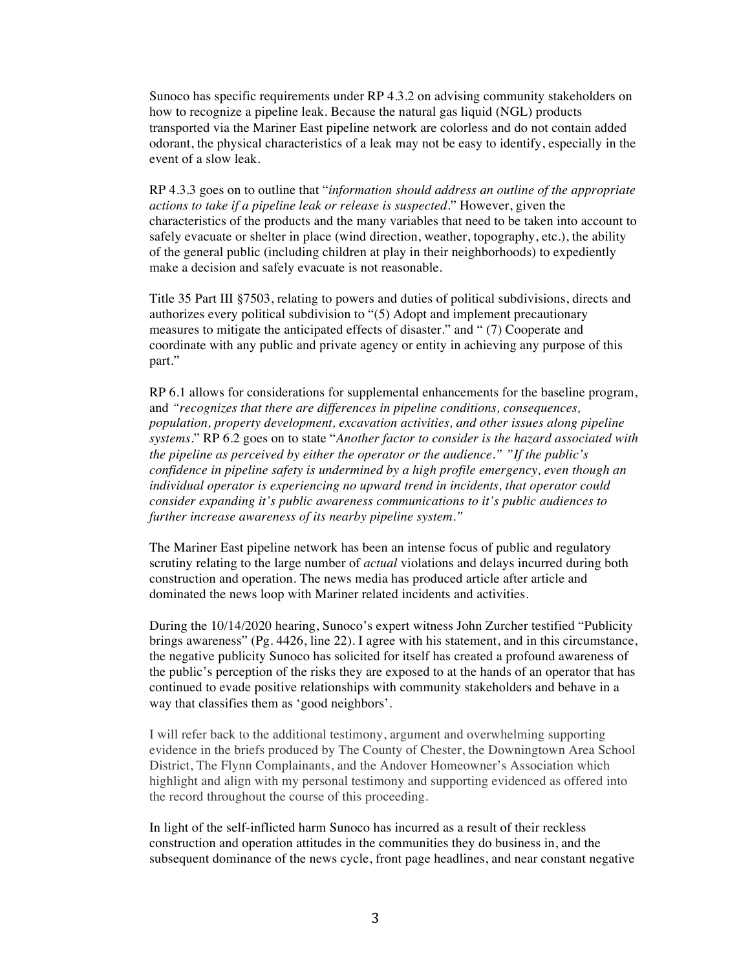Sunoco has specific requirements under RP 4.3.2 on advising community stakeholders on how to recognize a pipeline leak. Because the natural gas liquid (NGL) products transported via the Mariner East pipeline network are colorless and do not contain added odorant, the physical characteristics of a leak may not be easy to identify, especially in the event of a slow leak.

RP 4.3.3 goes on to outline that "*information should address an outline of the appropriate actions to take if a pipeline leak or release is suspected.*" However, given the characteristics of the products and the many variables that need to be taken into account to safely evacuate or shelter in place (wind direction, weather, topography, etc.), the ability of the general public (including children at play in their neighborhoods) to expediently make a decision and safely evacuate is not reasonable.

Title 35 Part III §7503, relating to powers and duties of political subdivisions, directs and authorizes every political subdivision to "(5) Adopt and implement precautionary measures to mitigate the anticipated effects of disaster." and " (7) Cooperate and coordinate with any public and private agency or entity in achieving any purpose of this part."

RP 6.1 allows for considerations for supplemental enhancements for the baseline program, and *"recognizes that there are differences in pipeline conditions, consequences, population, property development, excavation activities, and other issues along pipeline systems.*" RP 6.2 goes on to state "*Another factor to consider is the hazard associated with the pipeline as perceived by either the operator or the audience." "If the public's confidence in pipeline safety is undermined by a high profile emergency, even though an individual operator is experiencing no upward trend in incidents, that operator could consider expanding it's public awareness communications to it's public audiences to further increase awareness of its nearby pipeline system."*

The Mariner East pipeline network has been an intense focus of public and regulatory scrutiny relating to the large number of *actual* violations and delays incurred during both construction and operation. The news media has produced article after article and dominated the news loop with Mariner related incidents and activities.

During the 10/14/2020 hearing, Sunoco's expert witness John Zurcher testified "Publicity brings awareness" (Pg. 4426, line 22). I agree with his statement, and in this circumstance, the negative publicity Sunoco has solicited for itself has created a profound awareness of the public's perception of the risks they are exposed to at the hands of an operator that has continued to evade positive relationships with community stakeholders and behave in a way that classifies them as 'good neighbors'.

I will refer back to the additional testimony, argument and overwhelming supporting evidence in the briefs produced by The County of Chester, the Downingtown Area School District, The Flynn Complainants, and the Andover Homeowner's Association which highlight and align with my personal testimony and supporting evidenced as offered into the record throughout the course of this proceeding.

In light of the self-inflicted harm Sunoco has incurred as a result of their reckless construction and operation attitudes in the communities they do business in, and the subsequent dominance of the news cycle, front page headlines, and near constant negative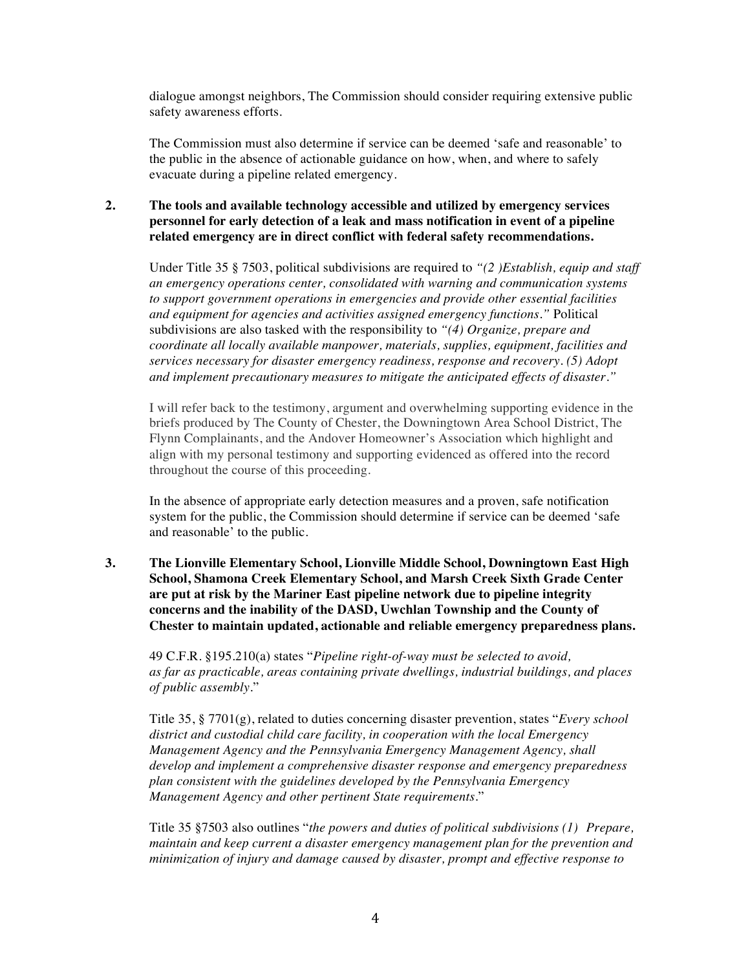dialogue amongst neighbors, The Commission should consider requiring extensive public safety awareness efforts.

The Commission must also determine if service can be deemed 'safe and reasonable' to the public in the absence of actionable guidance on how, when, and where to safely evacuate during a pipeline related emergency.

# **2. The tools and available technology accessible and utilized by emergency services personnel for early detection of a leak and mass notification in event of a pipeline related emergency are in direct conflict with federal safety recommendations.**

Under Title 35 § 7503, political subdivisions are required to *"(2 )Establish, equip and staff an emergency operations center, consolidated with warning and communication systems to support government operations in emergencies and provide other essential facilities and equipment for agencies and activities assigned emergency functions."* Political subdivisions are also tasked with the responsibility to *"(4) Organize, prepare and coordinate all locally available manpower, materials, supplies, equipment, facilities and services necessary for disaster emergency readiness, response and recovery. (5) Adopt and implement precautionary measures to mitigate the anticipated effects of disaster."*

I will refer back to the testimony, argument and overwhelming supporting evidence in the briefs produced by The County of Chester, the Downingtown Area School District, The Flynn Complainants, and the Andover Homeowner's Association which highlight and align with my personal testimony and supporting evidenced as offered into the record throughout the course of this proceeding.

In the absence of appropriate early detection measures and a proven, safe notification system for the public, the Commission should determine if service can be deemed 'safe and reasonable' to the public.

**3. The Lionville Elementary School, Lionville Middle School, Downingtown East High School, Shamona Creek Elementary School, and Marsh Creek Sixth Grade Center are put at risk by the Mariner East pipeline network due to pipeline integrity concerns and the inability of the DASD, Uwchlan Township and the County of Chester to maintain updated, actionable and reliable emergency preparedness plans.**

49 C.F.R. §195.210(a) states "*Pipeline right-of-way must be selected to avoid, as far as practicable, areas containing private dwellings, industrial buildings, and places of public assembly.*"

Title 35, § 7701(g), related to duties concerning disaster prevention, states "*Every school district and custodial child care facility, in cooperation with the local Emergency Management Agency and the Pennsylvania Emergency Management Agency, shall develop and implement a comprehensive disaster response and emergency preparedness plan consistent with the guidelines developed by the Pennsylvania Emergency Management Agency and other pertinent State requirements*."

Title 35 §7503 also outlines "*the powers and duties of political subdivisions (1) Prepare, maintain and keep current a disaster emergency management plan for the prevention and minimization of injury and damage caused by disaster, prompt and effective response to*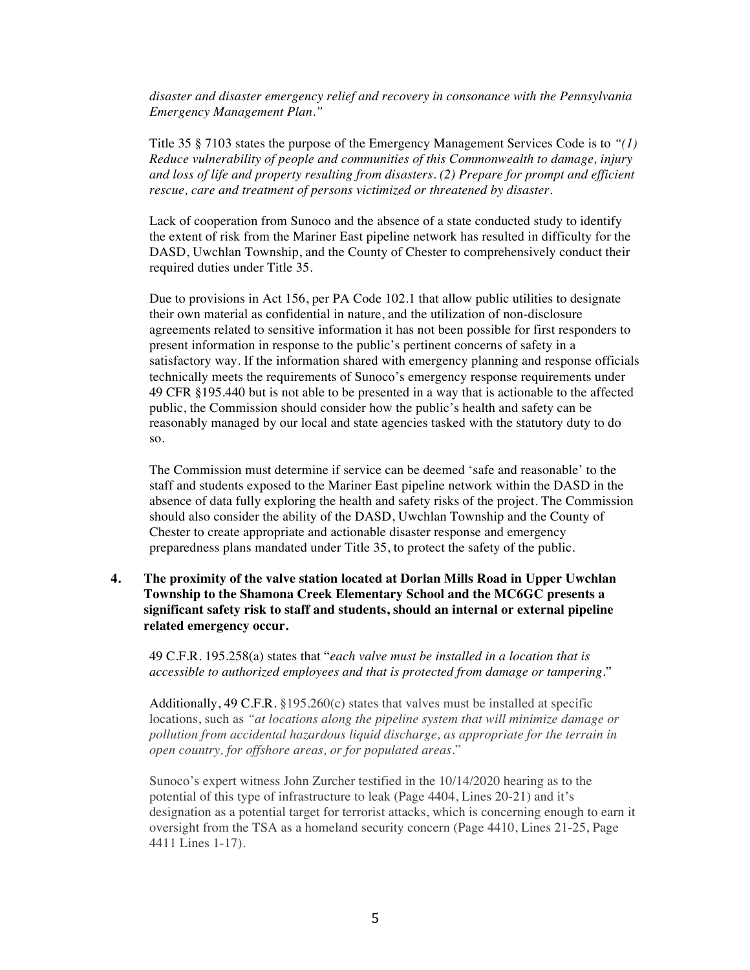*disaster and disaster emergency relief and recovery in consonance with the Pennsylvania Emergency Management Plan."*

Title 35 § 7103 states the purpose of the Emergency Management Services Code is to *"(1) Reduce vulnerability of people and communities of this Commonwealth to damage, injury and loss of life and property resulting from disasters. (2) Prepare for prompt and efficient rescue, care and treatment of persons victimized or threatened by disaster.*

Lack of cooperation from Sunoco and the absence of a state conducted study to identify the extent of risk from the Mariner East pipeline network has resulted in difficulty for the DASD, Uwchlan Township, and the County of Chester to comprehensively conduct their required duties under Title 35.

Due to provisions in Act 156, per PA Code 102.1 that allow public utilities to designate their own material as confidential in nature, and the utilization of non-disclosure agreements related to sensitive information it has not been possible for first responders to present information in response to the public's pertinent concerns of safety in a satisfactory way. If the information shared with emergency planning and response officials technically meets the requirements of Sunoco's emergency response requirements under 49 CFR §195.440 but is not able to be presented in a way that is actionable to the affected public, the Commission should consider how the public's health and safety can be reasonably managed by our local and state agencies tasked with the statutory duty to do so.

The Commission must determine if service can be deemed 'safe and reasonable' to the staff and students exposed to the Mariner East pipeline network within the DASD in the absence of data fully exploring the health and safety risks of the project. The Commission should also consider the ability of the DASD, Uwchlan Township and the County of Chester to create appropriate and actionable disaster response and emergency preparedness plans mandated under Title 35, to protect the safety of the public.

**4. The proximity of the valve station located at Dorlan Mills Road in Upper Uwchlan Township to the Shamona Creek Elementary School and the MC6GC presents a significant safety risk to staff and students, should an internal or external pipeline related emergency occur.**

49 C.F.R. 195.258(a) states that "*each valve must be installed in a location that is accessible to authorized employees and that is protected from damage or tampering*."

Additionally, 49 C.F.R.  $\S 195.260(c)$  states that valves must be installed at specific locations, such as *"at locations along the pipeline system that will minimize damage or pollution from accidental hazardous liquid discharge, as appropriate for the terrain in open country, for offshore areas, or for populated areas*."

Sunoco's expert witness John Zurcher testified in the 10/14/2020 hearing as to the potential of this type of infrastructure to leak (Page 4404, Lines 20-21) and it's designation as a potential target for terrorist attacks, which is concerning enough to earn it oversight from the TSA as a homeland security concern (Page 4410, Lines 21-25, Page 4411 Lines 1-17).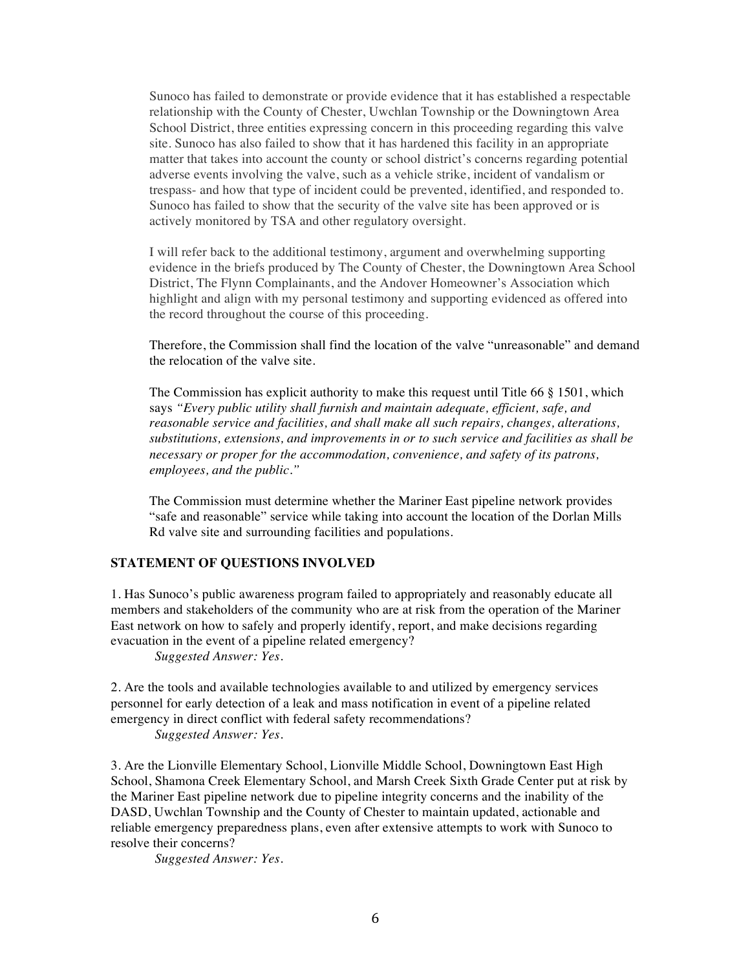Sunoco has failed to demonstrate or provide evidence that it has established a respectable relationship with the County of Chester, Uwchlan Township or the Downingtown Area School District, three entities expressing concern in this proceeding regarding this valve site. Sunoco has also failed to show that it has hardened this facility in an appropriate matter that takes into account the county or school district's concerns regarding potential adverse events involving the valve, such as a vehicle strike, incident of vandalism or trespass- and how that type of incident could be prevented, identified, and responded to. Sunoco has failed to show that the security of the valve site has been approved or is actively monitored by TSA and other regulatory oversight.

I will refer back to the additional testimony, argument and overwhelming supporting evidence in the briefs produced by The County of Chester, the Downingtown Area School District, The Flynn Complainants, and the Andover Homeowner's Association which highlight and align with my personal testimony and supporting evidenced as offered into the record throughout the course of this proceeding.

Therefore, the Commission shall find the location of the valve "unreasonable" and demand the relocation of the valve site.

The Commission has explicit authority to make this request until Title 66 § 1501, which says *"Every public utility shall furnish and maintain adequate, efficient, safe, and reasonable service and facilities, and shall make all such repairs, changes, alterations, substitutions, extensions, and improvements in or to such service and facilities as shall be necessary or proper for the accommodation, convenience, and safety of its patrons, employees, and the public."*

The Commission must determine whether the Mariner East pipeline network provides "safe and reasonable" service while taking into account the location of the Dorlan Mills Rd valve site and surrounding facilities and populations.

#### **STATEMENT OF QUESTIONS INVOLVED**

1. Has Sunoco's public awareness program failed to appropriately and reasonably educate all members and stakeholders of the community who are at risk from the operation of the Mariner East network on how to safely and properly identify, report, and make decisions regarding evacuation in the event of a pipeline related emergency?

*Suggested Answer: Yes.*

2. Are the tools and available technologies available to and utilized by emergency services personnel for early detection of a leak and mass notification in event of a pipeline related emergency in direct conflict with federal safety recommendations? *Suggested Answer: Yes.*

3. Are the Lionville Elementary School, Lionville Middle School, Downingtown East High School, Shamona Creek Elementary School, and Marsh Creek Sixth Grade Center put at risk by the Mariner East pipeline network due to pipeline integrity concerns and the inability of the DASD, Uwchlan Township and the County of Chester to maintain updated, actionable and reliable emergency preparedness plans, even after extensive attempts to work with Sunoco to resolve their concerns?

*Suggested Answer: Yes.*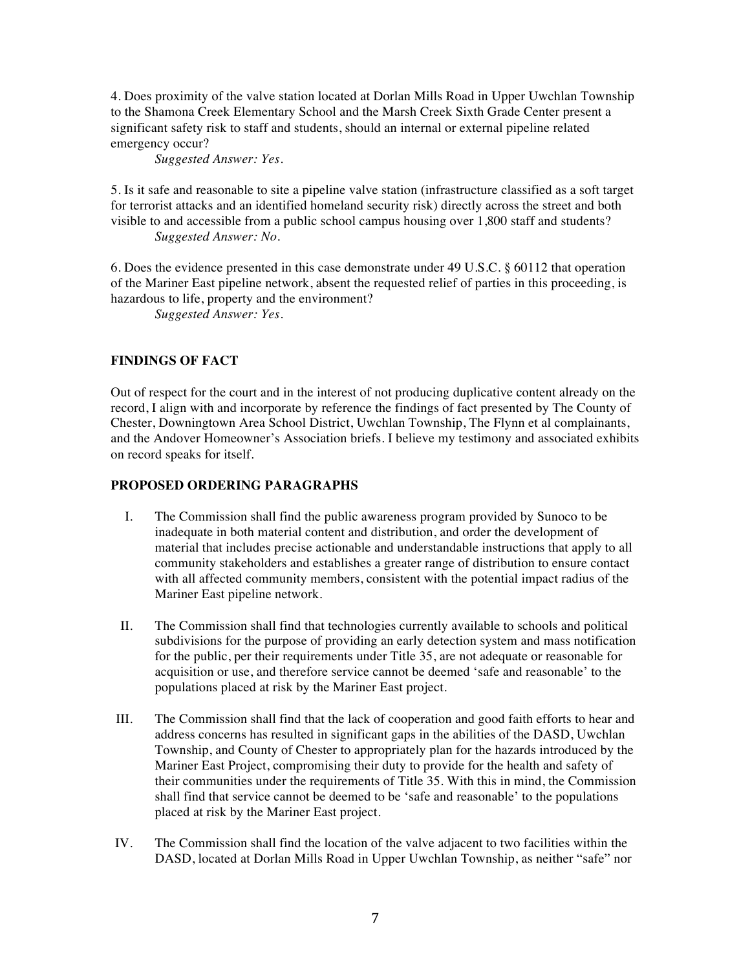4. Does proximity of the valve station located at Dorlan Mills Road in Upper Uwchlan Township to the Shamona Creek Elementary School and the Marsh Creek Sixth Grade Center present a significant safety risk to staff and students, should an internal or external pipeline related emergency occur?

*Suggested Answer: Yes.*

5. Is it safe and reasonable to site a pipeline valve station (infrastructure classified as a soft target for terrorist attacks and an identified homeland security risk) directly across the street and both visible to and accessible from a public school campus housing over 1,800 staff and students? *Suggested Answer: No.*

6. Does the evidence presented in this case demonstrate under 49 U.S.C. § 60112 that operation of the Mariner East pipeline network, absent the requested relief of parties in this proceeding, is hazardous to life, property and the environment?

*Suggested Answer: Yes.*

# **FINDINGS OF FACT**

Out of respect for the court and in the interest of not producing duplicative content already on the record, I align with and incorporate by reference the findings of fact presented by The County of Chester, Downingtown Area School District, Uwchlan Township, The Flynn et al complainants, and the Andover Homeowner's Association briefs. I believe my testimony and associated exhibits on record speaks for itself.

## **PROPOSED ORDERING PARAGRAPHS**

- I. The Commission shall find the public awareness program provided by Sunoco to be inadequate in both material content and distribution, and order the development of material that includes precise actionable and understandable instructions that apply to all community stakeholders and establishes a greater range of distribution to ensure contact with all affected community members, consistent with the potential impact radius of the Mariner East pipeline network.
- II. The Commission shall find that technologies currently available to schools and political subdivisions for the purpose of providing an early detection system and mass notification for the public, per their requirements under Title 35, are not adequate or reasonable for acquisition or use, and therefore service cannot be deemed 'safe and reasonable' to the populations placed at risk by the Mariner East project.
- III. The Commission shall find that the lack of cooperation and good faith efforts to hear and address concerns has resulted in significant gaps in the abilities of the DASD, Uwchlan Township, and County of Chester to appropriately plan for the hazards introduced by the Mariner East Project, compromising their duty to provide for the health and safety of their communities under the requirements of Title 35. With this in mind, the Commission shall find that service cannot be deemed to be 'safe and reasonable' to the populations placed at risk by the Mariner East project.
- IV. The Commission shall find the location of the valve adjacent to two facilities within the DASD, located at Dorlan Mills Road in Upper Uwchlan Township, as neither "safe" nor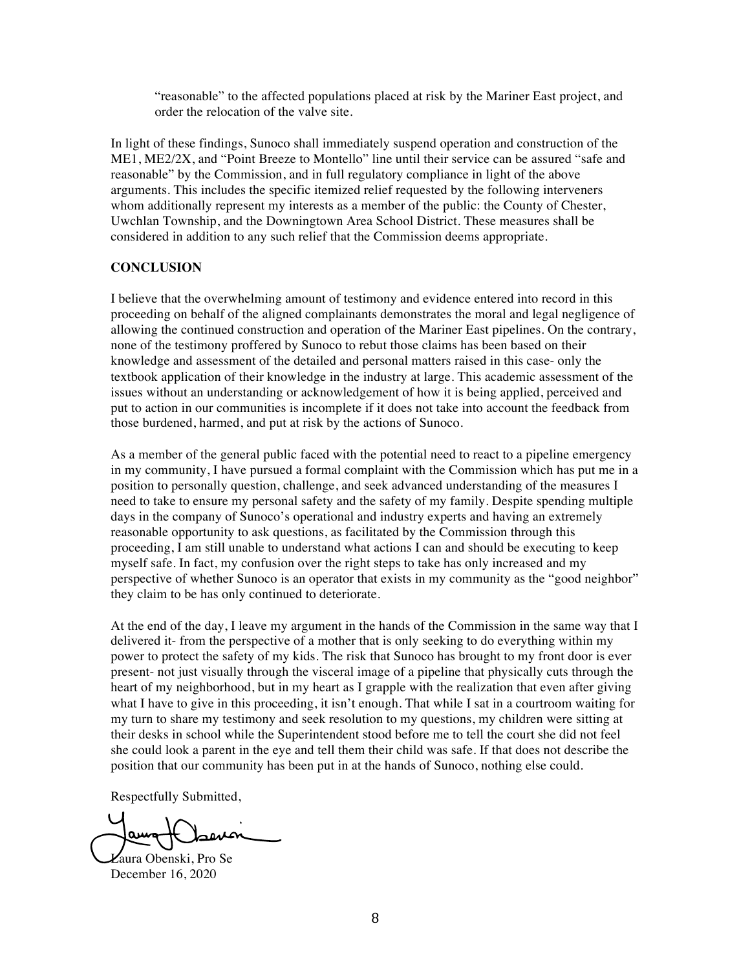"reasonable" to the affected populations placed at risk by the Mariner East project, and order the relocation of the valve site.

In light of these findings, Sunoco shall immediately suspend operation and construction of the ME1, ME2/2X, and "Point Breeze to Montello" line until their service can be assured "safe and reasonable" by the Commission, and in full regulatory compliance in light of the above arguments. This includes the specific itemized relief requested by the following interveners whom additionally represent my interests as a member of the public: the County of Chester, Uwchlan Township, and the Downingtown Area School District. These measures shall be considered in addition to any such relief that the Commission deems appropriate.

#### **CONCLUSION**

I believe that the overwhelming amount of testimony and evidence entered into record in this proceeding on behalf of the aligned complainants demonstrates the moral and legal negligence of allowing the continued construction and operation of the Mariner East pipelines. On the contrary, none of the testimony proffered by Sunoco to rebut those claims has been based on their knowledge and assessment of the detailed and personal matters raised in this case- only the textbook application of their knowledge in the industry at large. This academic assessment of the issues without an understanding or acknowledgement of how it is being applied, perceived and put to action in our communities is incomplete if it does not take into account the feedback from those burdened, harmed, and put at risk by the actions of Sunoco.

As a member of the general public faced with the potential need to react to a pipeline emergency in my community, I have pursued a formal complaint with the Commission which has put me in a position to personally question, challenge, and seek advanced understanding of the measures I need to take to ensure my personal safety and the safety of my family. Despite spending multiple days in the company of Sunoco's operational and industry experts and having an extremely reasonable opportunity to ask questions, as facilitated by the Commission through this proceeding, I am still unable to understand what actions I can and should be executing to keep myself safe. In fact, my confusion over the right steps to take has only increased and my perspective of whether Sunoco is an operator that exists in my community as the "good neighbor" they claim to be has only continued to deteriorate.

At the end of the day, I leave my argument in the hands of the Commission in the same way that I delivered it- from the perspective of a mother that is only seeking to do everything within my power to protect the safety of my kids. The risk that Sunoco has brought to my front door is ever present- not just visually through the visceral image of a pipeline that physically cuts through the heart of my neighborhood, but in my heart as I grapple with the realization that even after giving what I have to give in this proceeding, it isn't enough. That while I sat in a courtroom waiting for my turn to share my testimony and seek resolution to my questions, my children were sitting at their desks in school while the Superintendent stood before me to tell the court she did not feel she could look a parent in the eye and tell them their child was safe. If that does not describe the position that our community has been put in at the hands of Sunoco, nothing else could.

Respectfully Submitted,

Laura Obenski, Pro Se December 16, 2020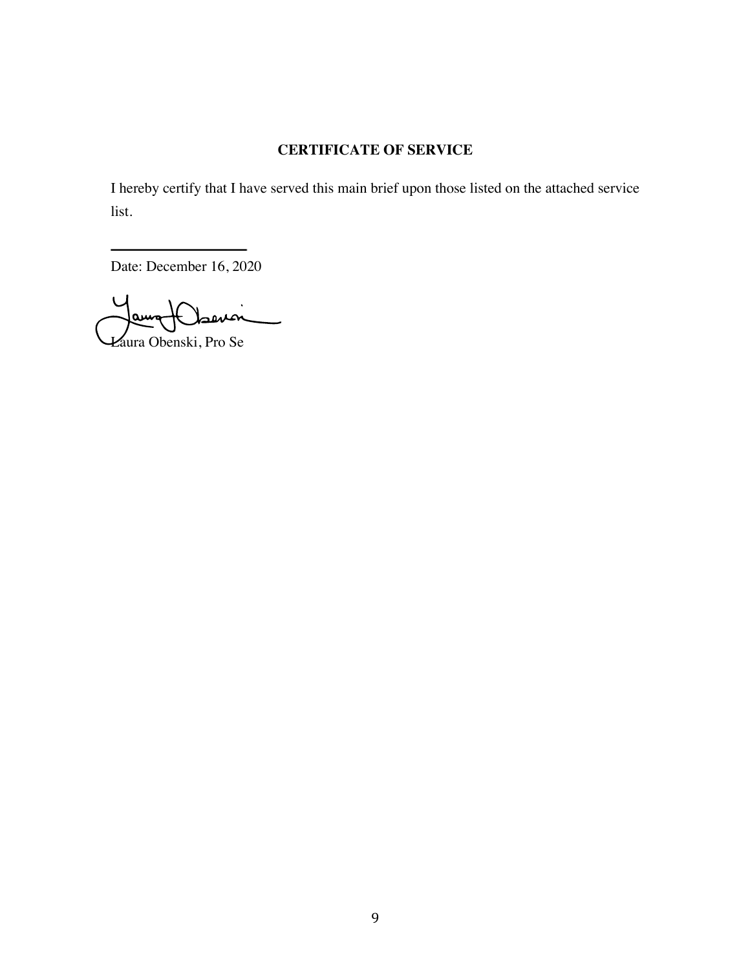# **CERTIFICATE OF SERVICE**

I hereby certify that I have served this main brief upon those listed on the attached service list.

Date: December 16, 2020

 $\dot{m}$ am

Laura Obenski, Pro Se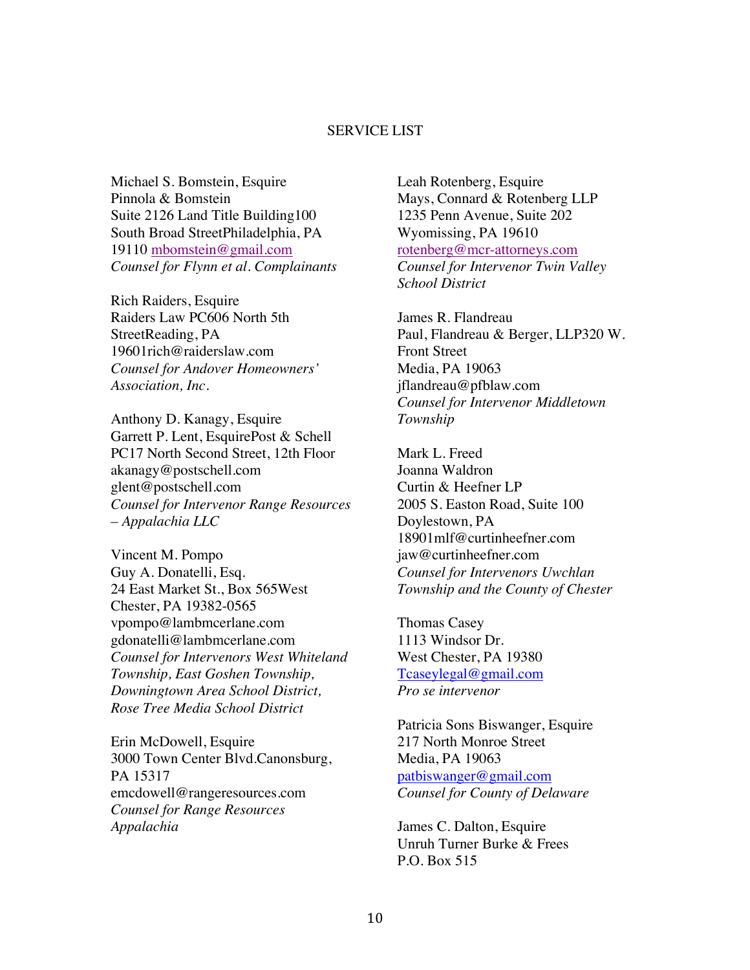## SERVICE LIST

Michael S. Bomstein, Esquire Pinnola & Bomstein Suite 2126 Land Title Building100 South Broad StreetPhiladelphia, PA 19110 mbomstein@gmail.com *Counsel for Flynn et al. Complainants* 

Rich Raiders, Esquire Raiders Law PC606 North 5th StreetReading, PA 19601rich@raiderslaw.com *Counsel for Andover Homeowners' Association, Inc.* 

Anthony D. Kanagy, Esquire Garrett P. Lent, EsquirePost & Schell PC17 North Second Street, 12th Floor akanagy@postschell.com glent@postschell.com *Counsel for Intervenor Range Resources – Appalachia LLC* 

Vincent M. Pompo Guy A. Donatelli, Esq. 24 East Market St., Box 565West Chester, PA 19382-0565 vpompo@lambmcerlane.com gdonatelli@lambmcerlane.com *Counsel for Intervenors West Whiteland Township, East Goshen Township, Downingtown Area School District, Rose Tree Media School District* 

Erin McDowell, Esquire 3000 Town Center Blvd.Canonsburg, PA 15317 emcdowell@rangeresources.com *Counsel for Range Resources Appalachia* 

Leah Rotenberg, Esquire Mays, Connard & Rotenberg LLP 1235 Penn Avenue, Suite 202 Wyomissing, PA 19610 rotenberg@mcr-attorneys.com *Counsel for Intervenor Twin Valley School District* 

James R. Flandreau Paul, Flandreau & Berger, LLP320 W. Front Street Media, PA 19063 jflandreau@pfblaw.com *Counsel for Intervenor Middletown Township* 

Mark L. Freed Joanna Waldron Curtin & Heefner LP 2005 S. Easton Road, Suite 100 Doylestown, PA 18901mlf@curtinheefner.com jaw@curtinheefner.com *Counsel for Intervenors Uwchlan Township and the County of Chester* 

Thomas Casey 1113 Windsor Dr. West Chester, PA 19380 Tcaseylegal@gmail.com *Pro se intervenor*

Patricia Sons Biswanger, Esquire 217 North Monroe Street Media, PA 19063 patbiswanger@gmail.com *Counsel for County of Delaware*

James C. Dalton, Esquire Unruh Turner Burke & Frees P.O. Box 515